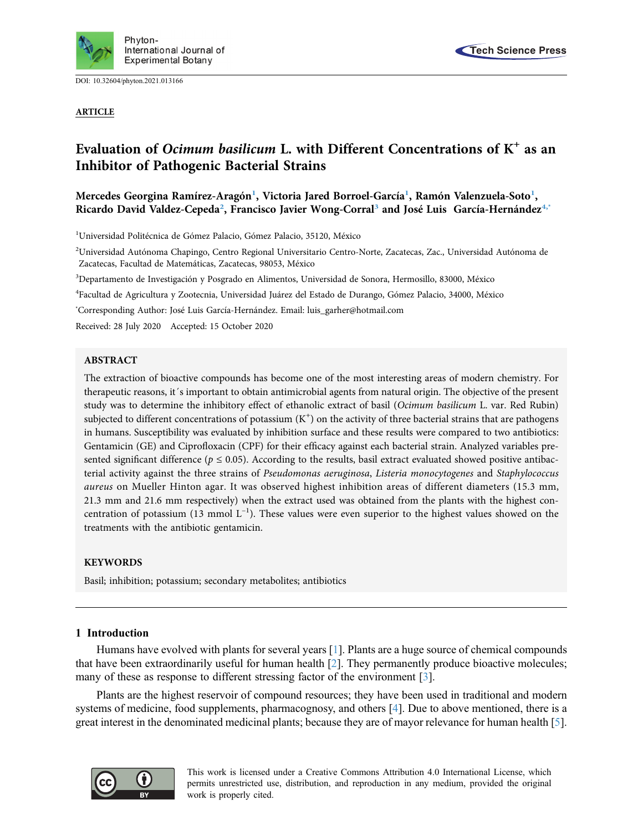

DOI: [10.32604/phyton.2021.013166](http://dx.doi.org/10.32604/phyton.2021.013166)

ARTICLE



# Evaluation of Ocimum basilicum L. with Different Concentrations of  $K^+$  as an Inhibitor of Pathogenic Bacterial Strains

Mercedes Georgina Ramírez-Aragón<sup>[1](#page-0-0)</sup>, Victoria Jared Borroel-García<sup>1</sup>, Ramón Valenzuela-Soto<sup>1</sup>, Ricardo David Valdez-Cepeda<sup>2</sup>, Francisco Javier Wong-Corral<sup>[3](#page-0-2)</sup> and José Luis García-Hernández<sup>[4](#page-0-3)[,\\*](#page-0-4)</sup>

<span id="page-0-0"></span><sup>1</sup>Universidad Politécnica de Gómez Palacio, Gómez Palacio, 35120, México

<span id="page-0-1"></span><sup>2</sup>Universidad Autónoma Chapingo, Centro Regional Universitario Centro-Norte, Zacatecas, Zac., Universidad Autónoma de Zacatecas, Facultad de Matemáticas, Zacatecas, 98053, México

<span id="page-0-2"></span>3 Departamento de Investigación y Posgrado en Alimentos, Universidad de Sonora, Hermosillo, 83000, México

<span id="page-0-3"></span>4 Facultad de Agricultura y Zootecnia, Universidad Juárez del Estado de Durango, Gómez Palacio, 34000, México

<span id="page-0-4"></span>\* Corresponding Author: José Luis García-Hernández. Email: [luis\\_garher@hotmail.com](mailto:luis_garher@hotmail.com)

Received: 28 July 2020 Accepted: 15 October 2020

#### ABSTRACT

The extraction of bioactive compounds has become one of the most interesting areas of modern chemistry. For therapeutic reasons, it´s important to obtain antimicrobial agents from natural origin. The objective of the present study was to determine the inhibitory effect of ethanolic extract of basil (Ocimum basilicum L. var. Red Rubin) subjected to different concentrations of potassium  $(K^+)$  on the activity of three bacterial strains that are pathogens in humans. Susceptibility was evaluated by inhibition surface and these results were compared to two antibiotics: Gentamicin (GE) and Ciprofloxacin (CPF) for their efficacy against each bacterial strain. Analyzed variables presented significant difference ( $p \le 0.05$ ). According to the results, basil extract evaluated showed positive antibacterial activity against the three strains of Pseudomonas aeruginosa, Listeria monocytogenes and Staphylococcus aureus on Mueller Hinton agar. It was observed highest inhibition areas of different diameters (15.3 mm, 21.3 mm and 21.6 mm respectively) when the extract used was obtained from the plants with the highest concentration of potassium (13 mmol  $L^{-1}$ ). These values were even superior to the highest values showed on the treatments with the antibiotic gentamicin.

#### **KEYWORDS**

Basil; inhibition; potassium; secondary metabolites; antibiotics

## 1 Introduction

Humans have evolved with plants for several years [[1](#page-6-0)]. Plants are a huge source of chemical compounds that have been extraordinarily useful for human health [[2](#page-6-1)]. They permanently produce bioactive molecules; many of these as response to different stressing factor of the environment [[3](#page-6-2)].

Plants are the highest reservoir of compound resources; they have been used in traditional and modern systems of medicine, food supplements, pharmacognosy, and others [[4](#page-6-3)]. Due to above mentioned, there is a great interest in the denominated medicinal plants; because they are of mayor relevance for human health [\[5\]](#page-6-4).

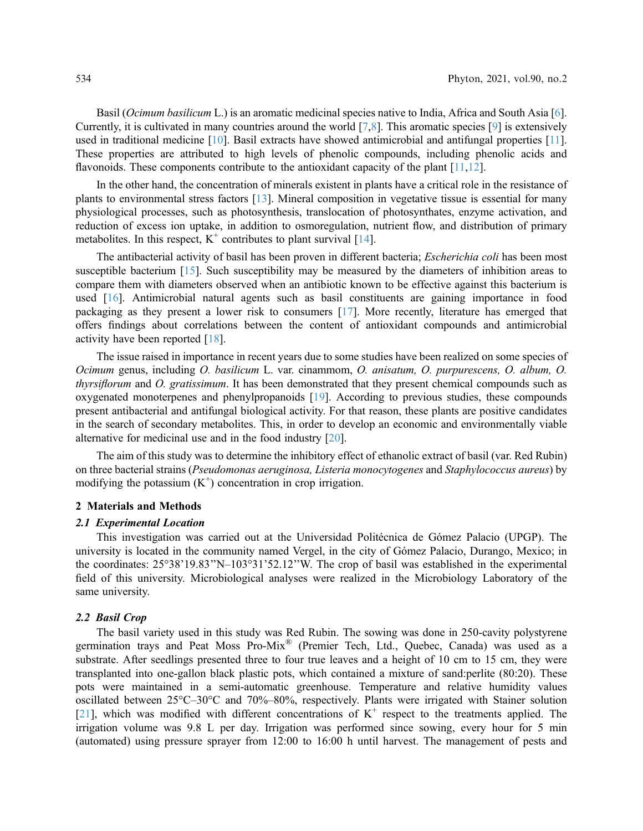Basil (*Ocimum basilicum* L.) is an aromatic medicinal species native to India, Africa and South Asia [\[6\]](#page-6-5). Currently, it is cultivated in many countries around the world [\[7](#page-6-6)[,8\]](#page-6-7). This aromatic species [[9](#page-6-8)] is extensively used in traditional medicine [[10\]](#page-6-9). Basil extracts have showed antimicrobial and antifungal properties [\[11\]](#page-6-10). These properties are attributed to high levels of phenolic compounds, including phenolic acids and flavonoids. These components contribute to the antioxidant capacity of the plant [[11](#page-6-10),[12\]](#page-6-11).

In the other hand, the concentration of minerals existent in plants have a critical role in the resistance of plants to environmental stress factors [[13\]](#page-6-12). Mineral composition in vegetative tissue is essential for many physiological processes, such as photosynthesis, translocation of photosynthates, enzyme activation, and reduction of excess ion uptake, in addition to osmoregulation, nutrient flow, and distribution of primary metabolites. In this respect,  $K^+$  contributes to plant survival [\[14](#page-6-13)].

The antibacterial activity of basil has been proven in different bacteria; Escherichia coli has been most susceptible bacterium [\[15](#page-6-14)]. Such susceptibility may be measured by the diameters of inhibition areas to compare them with diameters observed when an antibiotic known to be effective against this bacterium is used [\[16\]](#page-6-15). Antimicrobial natural agents such as basil constituents are gaining importance in food packaging as they present a lower risk to consumers [\[17](#page-6-16)]. More recently, literature has emerged that offers findings about correlations between the content of antioxidant compounds and antimicrobial activity have been reported [\[18](#page-6-17)].

The issue raised in importance in recent years due to some studies have been realized on some species of Ocimum genus, including O. basilicum L. var. cinammom, O. anisatum, O. purpurescens, O. album, O. thyrsiflorum and O. gratissimum. It has been demonstrated that they present chemical compounds such as oxygenated monoterpenes and phenylpropanoids [[19](#page-6-18)]. According to previous studies, these compounds present antibacterial and antifungal biological activity. For that reason, these plants are positive candidates in the search of secondary metabolites. This, in order to develop an economic and environmentally viable alternative for medicinal use and in the food industry [\[20](#page-7-0)].

The aim of this study was to determine the inhibitory effect of ethanolic extract of basil (var. Red Rubin) on three bacterial strains (Pseudomonas aeruginosa, Listeria monocytogenes and Staphylococcus aureus) by modifying the potassium  $(K^+)$  concentration in crop irrigation.

#### 2 Materials and Methods

#### 2.1 Experimental Location

This investigation was carried out at the Universidad Politécnica de Gómez Palacio (UPGP). The university is located in the community named Vergel, in the city of Gómez Palacio, Durango, Mexico; in the coordinates: 25°38'19.83''N–103°31'52.12''W. The crop of basil was established in the experimental field of this university. Microbiological analyses were realized in the Microbiology Laboratory of the same university.

### 2.2 Basil Crop

The basil variety used in this study was Red Rubin. The sowing was done in 250-cavity polystyrene germination trays and Peat Moss Pro-Mix® (Premier Tech, Ltd., Quebec, Canada) was used as a substrate. After seedlings presented three to four true leaves and a height of 10 cm to 15 cm, they were transplanted into one-gallon black plastic pots, which contained a mixture of sand:perlite (80:20). These pots were maintained in a semi-automatic greenhouse. Temperature and relative humidity values oscillated between 25°C–30°C and 70%–80%, respectively. Plants were irrigated with Stainer solution [[21](#page-7-1)], which was modified with different concentrations of  $K^+$  respect to the treatments applied. The irrigation volume was 9.8 L per day. Irrigation was performed since sowing, every hour for 5 min (automated) using pressure sprayer from 12:00 to 16:00 h until harvest. The management of pests and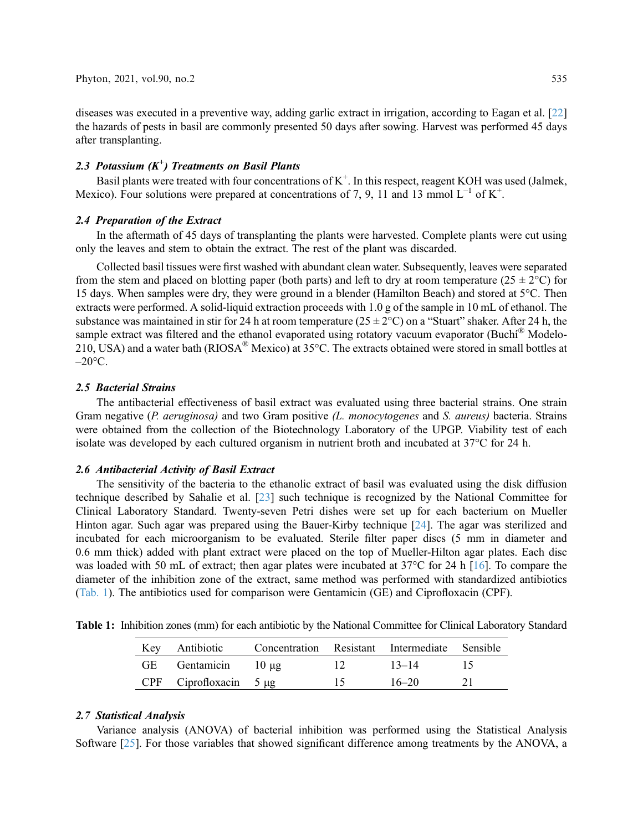diseases was executed in a preventive way, adding garlic extract in irrigation, according to Eagan et al. [[22\]](#page-7-2) the hazards of pests in basil are commonly presented 50 days after sowing. Harvest was performed 45 days after transplanting.

## 2.3 Potassium  $(K^+)$  Treatments on Basil Plants

Basil plants were treated with four concentrations of  $K^+$ . In this respect, reagent KOH was used (Jalmek, Mexico). Four solutions were prepared at concentrations of 7, 9, 11 and 13 mmol  $L^{-1}$  of  $K^+$ .

### 2.4 Preparation of the Extract

In the aftermath of 45 days of transplanting the plants were harvested. Complete plants were cut using only the leaves and stem to obtain the extract. The rest of the plant was discarded.

Collected basil tissues were first washed with abundant clean water. Subsequently, leaves were separated from the stem and placed on blotting paper (both parts) and left to dry at room temperature ( $25 \pm 2$ °C) for 15 days. When samples were dry, they were ground in a blender (Hamilton Beach) and stored at 5°C. Then extracts were performed. A solid-liquid extraction proceeds with 1.0 g of the sample in 10 mL of ethanol. The substance was maintained in stir for 24 h at room temperature  $(25 \pm 2^{\circ}C)$  on a "Stuart" shaker. After 24 h, the sample extract was filtered and the ethanol evaporated using rotatory vacuum evaporator (Buchí<sup>®</sup> Modelo-210, USA) and a water bath (RIOSA® Mexico) at 35°C. The extracts obtained were stored in small bottles at  $-20$ °C.

#### 2.5 Bacterial Strains

The antibacterial effectiveness of basil extract was evaluated using three bacterial strains. One strain Gram negative (P. aeruginosa) and two Gram positive (L. monocytogenes and S. aureus) bacteria. Strains were obtained from the collection of the Biotechnology Laboratory of the UPGP. Viability test of each isolate was developed by each cultured organism in nutrient broth and incubated at 37°C for 24 h.

#### 2.6 Antibacterial Activity of Basil Extract

The sensitivity of the bacteria to the ethanolic extract of basil was evaluated using the disk diffusion technique described by Sahalie et al. [[23\]](#page-7-3) such technique is recognized by the National Committee for Clinical Laboratory Standard. Twenty-seven Petri dishes were set up for each bacterium on Mueller Hinton agar. Such agar was prepared using the Bauer-Kirby technique [\[24](#page-7-4)]. The agar was sterilized and incubated for each microorganism to be evaluated. Sterile filter paper discs (5 mm in diameter and 0.6 mm thick) added with plant extract were placed on the top of Mueller-Hilton agar plates. Each disc was loaded with 50 mL of extract; then agar plates were incubated at 37°C for 24 h [[16\]](#page-6-15). To compare the diameter of the inhibition zone of the extract, same method was performed with standardized antibiotics ([Tab. 1](#page-2-0)). The antibiotics used for comparison were Gentamicin (GE) and Ciprofloxacin (CPF).

<span id="page-2-0"></span>

|  |  |  |  |  |  |  |  |  | <b>Table 1:</b> Inhibition zones (mm) for each antibiotic by the National Committee for Clinical Laboratory Standard |  |
|--|--|--|--|--|--|--|--|--|----------------------------------------------------------------------------------------------------------------------|--|
|--|--|--|--|--|--|--|--|--|----------------------------------------------------------------------------------------------------------------------|--|

| Key Antibiotic              | Concentration Resistant Intermediate Sensible |                 |           |  |
|-----------------------------|-----------------------------------------------|-----------------|-----------|--|
| GE Gentamicin $10 \mu$ g    |                                               | $\mathbf{1}$ .  | $13 - 14$ |  |
| CPF Ciprofloxacin $5 \mu g$ |                                               | $\overline{15}$ | $16 - 20$ |  |

#### 2.7 Statistical Analysis

Variance analysis (ANOVA) of bacterial inhibition was performed using the Statistical Analysis Software [\[25\]](#page-7-5). For those variables that showed significant difference among treatments by the ANOVA, a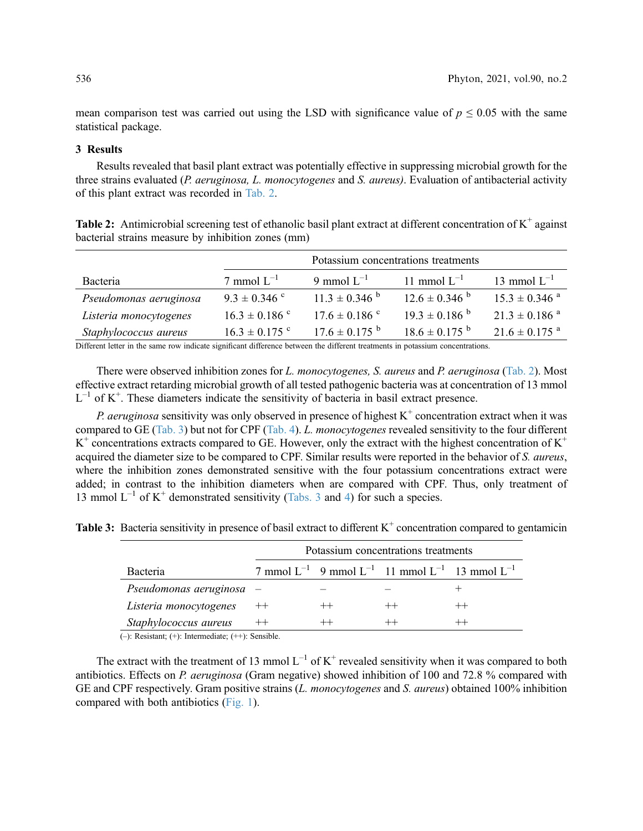mean comparison test was carried out using the LSD with significance value of  $p \le 0.05$  with the same statistical package.

## 3 Results

Results revealed that basil plant extract was potentially effective in suppressing microbial growth for the three strains evaluated (P. *aeruginosa, L. monocytogenes* and S. *aureus*). Evaluation of antibacterial activity of this plant extract was recorded in [Tab. 2](#page-3-0).

<span id="page-3-0"></span>

| Table 2: Antimicrobial screening test of ethanolic basil plant extract at different concentration of $K^+$ against |  |
|--------------------------------------------------------------------------------------------------------------------|--|
| bacterial strains measure by inhibition zones (mm)                                                                 |  |

|                        | Potassium concentrations treatments |                               |                               |                               |  |
|------------------------|-------------------------------------|-------------------------------|-------------------------------|-------------------------------|--|
| Bacteria               | 7 mmol $L^{-1}$                     | 9 mmol $L^{-1}$               | 11 mmol $L^{-1}$              | 13 mmol $L^{-1}$              |  |
| Pseudomonas aeruginosa | $9.3 \pm 0.346$ c                   | $11.3 \pm 0.346$ <sup>b</sup> | $12.6 \pm 0.346$              | $15.3 \pm 0.346$ <sup>a</sup> |  |
| Listeria monocytogenes | $16.3 \pm 0.186$ c                  | $17.6 \pm 0.186$ c            | $19.3 \pm 0.186$ <sup>b</sup> | $21.3 \pm 0.186$ <sup>a</sup> |  |
| Staphylococcus aureus  | $16.3 \pm 0.175$ c                  | $17.6 \pm 0.175$ <sup>b</sup> | $18.6 \pm 0.175$ <sup>b</sup> | $21.6 \pm 0.175$ <sup>a</sup> |  |

Different letter in the same row indicate significant difference between the different treatments in potassium concentrations.

There were observed inhibition zones for L. monocytogenes, S. aureus and P. aeruginosa [\(Tab. 2\)](#page-3-0). Most effective extract retarding microbial growth of all tested pathogenic bacteria was at concentration of 13 mmol  $L^{-1}$  of  $K^+$ . These diameters indicate the sensitivity of bacteria in basil extract presence.

*P. aeruginosa* sensitivity was only observed in presence of highest  $K^+$  concentration extract when it was compared to GE [\(Tab. 3](#page-3-1)) but not for CPF [\(Tab. 4](#page-4-0)). L. monocytogenes revealed sensitivity to the four different  $K^+$  concentrations extracts compared to GE. However, only the extract with the highest concentration of  $K^+$ acquired the diameter size to be compared to CPF. Similar results were reported in the behavior of S. aureus, where the inhibition zones demonstrated sensitive with the four potassium concentrations extract were added; in contrast to the inhibition diameters when are compared with CPF. Thus, only treatment of 13 mmol  $L^{-1}$  of K<sup>+</sup> demonstrated sensitivity ([Tabs. 3](#page-3-1) and [4\)](#page-4-0) for such a species.

<span id="page-3-1"></span>**Table 3:** Bacteria sensitivity in presence of basil extract to different  $K^+$  concentration compared to gentamicin

|                          | Potassium concentrations treatments |         |                                                                   |  |  |
|--------------------------|-------------------------------------|---------|-------------------------------------------------------------------|--|--|
| <b>Bacteria</b>          |                                     |         | 7 mmol $L^{-1}$ 9 mmol $L^{-1}$ 11 mmol $L^{-1}$ 13 mmol $L^{-1}$ |  |  |
| Pseudomonas aeruginosa - |                                     |         |                                                                   |  |  |
| Listeria monocytogenes   | $++$                                | $^{++}$ | $^{++}$                                                           |  |  |
| Staphylococcus aureus    |                                     |         |                                                                   |  |  |

(–): Resistant; (+): Intermediate; (++): Sensible.

The extract with the treatment of 13 mmol  $L^{-1}$  of  $K^+$  revealed sensitivity when it was compared to both antibiotics. Effects on P. aeruginosa (Gram negative) showed inhibition of 100 and 72.8 % compared with GE and CPF respectively. Gram positive strains (L. monocytogenes and S. aureus) obtained 100% inhibition compared with both antibiotics [\(Fig. 1](#page-4-1)).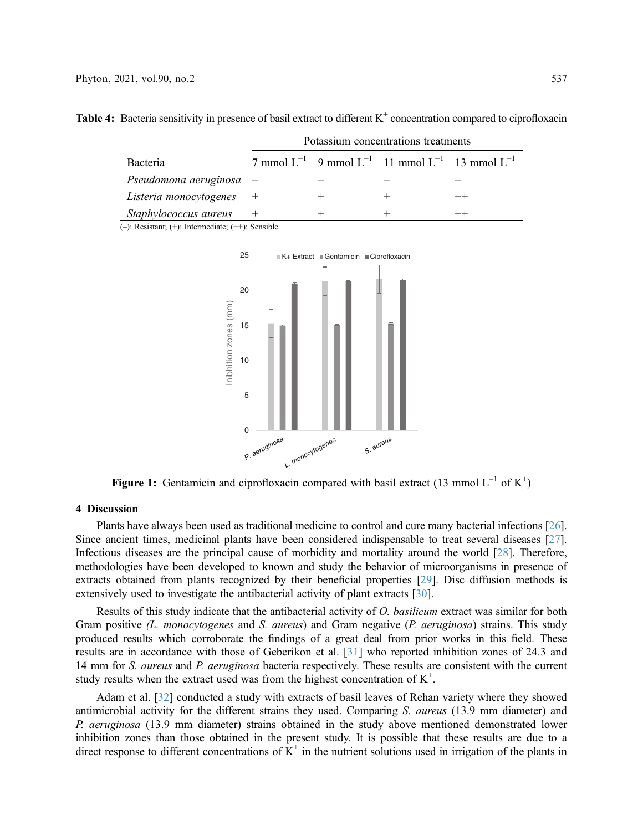|                           | Potassium concentrations treatments |  |                                                                   |  |  |
|---------------------------|-------------------------------------|--|-------------------------------------------------------------------|--|--|
| Bacteria                  |                                     |  | 7 mmol $L^{-1}$ 9 mmol $L^{-1}$ 11 mmol $L^{-1}$ 13 mmol $L^{-1}$ |  |  |
| Pseudomona aeruginosa $-$ |                                     |  |                                                                   |  |  |
| Listeria monocytogenes    |                                     |  |                                                                   |  |  |
| Staphylococcus aureus     |                                     |  |                                                                   |  |  |

<span id="page-4-0"></span>**Table 4:** Bacteria sensitivity in presence of basil extract to different  $K^+$  concentration compared to ciprofloxacin

<span id="page-4-1"></span>(–): Resistant; (+): Intermediate; (++): Sensible



Figure 1: Gentamicin and ciprofloxacin compared with basil extract (13 mmol  $L^{-1}$  of  $K^+$ )

#### 4 Discussion

Plants have always been used as traditional medicine to control and cure many bacterial infections [[26\]](#page-7-6). Since ancient times, medicinal plants have been considered indispensable to treat several diseases [[27\]](#page-7-7). Infectious diseases are the principal cause of morbidity and mortality around the world [\[28](#page-7-8)]. Therefore, methodologies have been developed to known and study the behavior of microorganisms in presence of extracts obtained from plants recognized by their beneficial properties [[29\]](#page-7-9). Disc diffusion methods is extensively used to investigate the antibacterial activity of plant extracts [\[30\]](#page-7-10).

Results of this study indicate that the antibacterial activity of O. basilicum extract was similar for both Gram positive (L. monocytogenes and S. aureus) and Gram negative (P. aeruginosa) strains. This study produced results which corroborate the findings of a great deal from prior works in this field. These results are in accordance with those of Geberikon et al. [[31\]](#page-7-11) who reported inhibition zones of 24.3 and 14 mm for *S. aureus* and *P. aeruginosa* bacteria respectively. These results are consistent with the current study results when the extract used was from the highest concentration of  $K^+$ .

Adam et al. [\[32](#page-7-12)] conducted a study with extracts of basil leaves of Rehan variety where they showed antimicrobial activity for the different strains they used. Comparing S. aureus (13.9 mm diameter) and P. aeruginosa (13.9 mm diameter) strains obtained in the study above mentioned demonstrated lower inhibition zones than those obtained in the present study. It is possible that these results are due to a direct response to different concentrations of  $K^+$  in the nutrient solutions used in irrigation of the plants in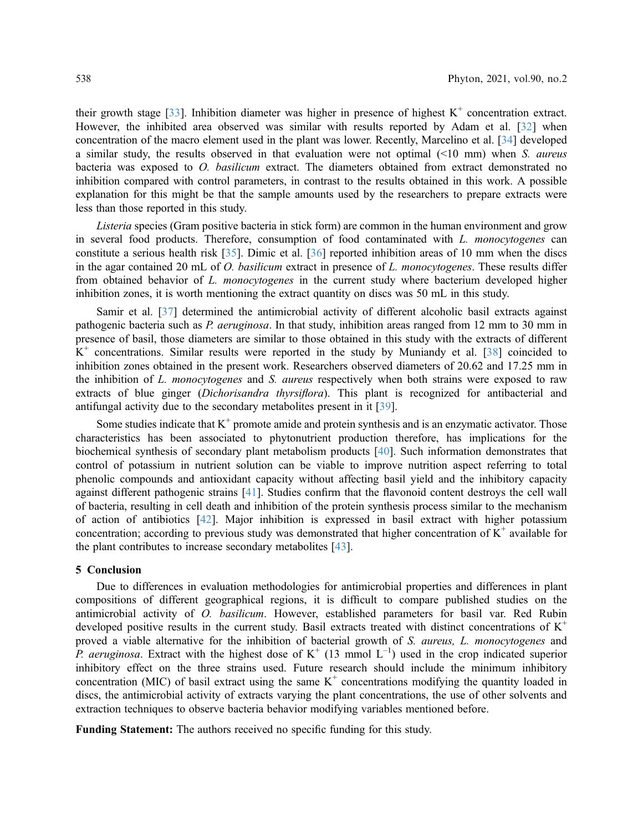their growth stage [[33\]](#page-7-13). Inhibition diameter was higher in presence of highest  $K^+$  concentration extract. However, the inhibited area observed was similar with results reported by Adam et al. [\[32](#page-7-12)] when concentration of the macro element used in the plant was lower. Recently, Marcelino et al. [[34\]](#page-7-14) developed a similar study, the results observed in that evaluation were not optimal  $(\leq 10 \text{ mm})$  when S. *aureus* bacteria was exposed to O. basilicum extract. The diameters obtained from extract demonstrated no inhibition compared with control parameters, in contrast to the results obtained in this work. A possible explanation for this might be that the sample amounts used by the researchers to prepare extracts were less than those reported in this study.

Listeria species (Gram positive bacteria in stick form) are common in the human environment and grow in several food products. Therefore, consumption of food contaminated with L. monocytogenes can constitute a serious health risk [[35\]](#page-7-15). Dimic et al. [[36\]](#page-7-16) reported inhibition areas of 10 mm when the discs in the agar contained 20 mL of O. basilicum extract in presence of L. monocytogenes. These results differ from obtained behavior of L. monocytogenes in the current study where bacterium developed higher inhibition zones, it is worth mentioning the extract quantity on discs was 50 mL in this study.

Samir et al. [\[37](#page-7-17)] determined the antimicrobial activity of different alcoholic basil extracts against pathogenic bacteria such as P. aeruginosa. In that study, inhibition areas ranged from 12 mm to 30 mm in presence of basil, those diameters are similar to those obtained in this study with the extracts of different  $K^+$  concentrations. Similar results were reported in the study by Muniandy et al. [[38\]](#page-7-18) coincided to inhibition zones obtained in the present work. Researchers observed diameters of 20.62 and 17.25 mm in the inhibition of L. monocytogenes and S. aureus respectively when both strains were exposed to raw extracts of blue ginger (Dichorisandra thyrsiflora). This plant is recognized for antibacterial and antifungal activity due to the secondary metabolites present in it [[39](#page-7-19)].

Some studies indicate that  $K^+$  promote amide and protein synthesis and is an enzymatic activator. Those characteristics has been associated to phytonutrient production therefore, has implications for the biochemical synthesis of secondary plant metabolism products [\[40\]](#page-8-0). Such information demonstrates that control of potassium in nutrient solution can be viable to improve nutrition aspect referring to total phenolic compounds and antioxidant capacity without affecting basil yield and the inhibitory capacity against different pathogenic strains [[41\]](#page-8-1). Studies confirm that the flavonoid content destroys the cell wall of bacteria, resulting in cell death and inhibition of the protein synthesis process similar to the mechanism of action of antibiotics [[42\]](#page-8-2). Major inhibition is expressed in basil extract with higher potassium concentration; according to previous study was demonstrated that higher concentration of  $K^+$  available for the plant contributes to increase secondary metabolites [\[43](#page-8-3)].

#### 5 Conclusion

Due to differences in evaluation methodologies for antimicrobial properties and differences in plant compositions of different geographical regions, it is difficult to compare published studies on the antimicrobial activity of O. basilicum. However, established parameters for basil var. Red Rubin developed positive results in the current study. Basil extracts treated with distinct concentrations of  $K^+$ proved a viable alternative for the inhibition of bacterial growth of S. aureus, L. monocytogenes and P. aeruginosa. Extract with the highest dose of  $K^+$  (13 mmol  $L^{-1}$ ) used in the crop indicated superior inhibitory effect on the three strains used. Future research should include the minimum inhibitory concentration (MIC) of basil extract using the same  $K^+$  concentrations modifying the quantity loaded in discs, the antimicrobial activity of extracts varying the plant concentrations, the use of other solvents and extraction techniques to observe bacteria behavior modifying variables mentioned before.

Funding Statement: The authors received no specific funding for this study.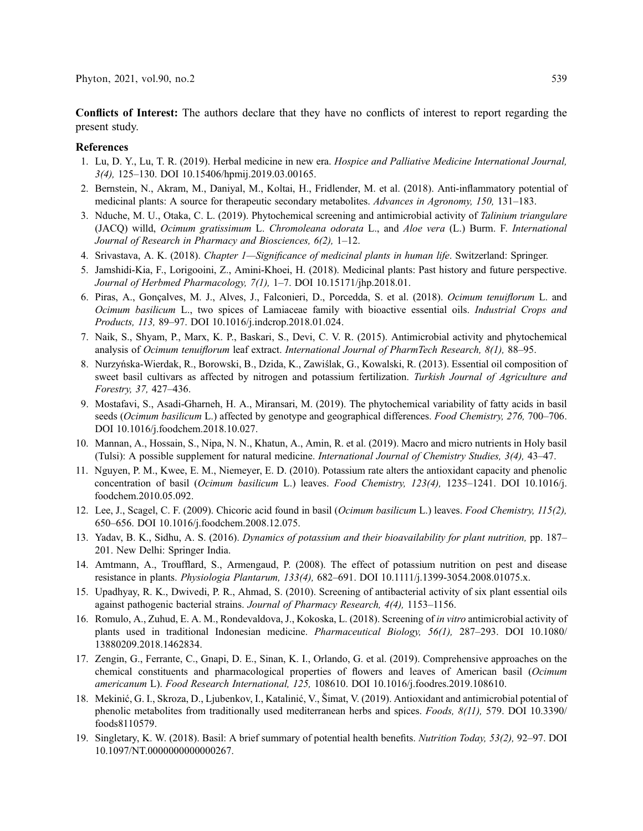Conflicts of Interest: The authors declare that they have no conflicts of interest to report regarding the present study.

#### References

- <span id="page-6-0"></span>1. Lu, D. Y., Lu, T. R. (2019). Herbal medicine in new era. Hospice and Palliative Medicine International Journal, 3(4), 125–130. DOI [10.15406/hpmij.2019.03.00165.](http://dx.doi.org/10.15406/hpmij.2019.03.00165)
- <span id="page-6-1"></span>2. Bernstein, N., Akram, M., Daniyal, M., Koltai, H., Fridlender, M. et al. (2018). Anti-inflammatory potential of medicinal plants: A source for therapeutic secondary metabolites. Advances in Agronomy, 150, 131-183.
- <span id="page-6-2"></span>3. Nduche, M. U., Otaka, C. L. (2019). Phytochemical screening and antimicrobial activity of Talinium triangulare (JACQ) willd, Ocimum gratissimum L. Chromoleana odorata L., and Aloe vera (L.) Burm. F. International Journal of Research in Pharmacy and Biosciences, 6(2), 1–12.
- <span id="page-6-3"></span>4. Srivastava, A. K. (2018). Chapter 1—Significance of medicinal plants in human life. Switzerland: Springer.
- <span id="page-6-4"></span>5. Jamshidi-Kia, F., Lorigooini, Z., Amini-Khoei, H. (2018). Medicinal plants: Past history and future perspective. Journal of Herbmed Pharmacology, 7(1), 1–7. DOI [10.15171/jhp.2018.01.](http://dx.doi.org/10.15171/jhp.2018.01)
- <span id="page-6-5"></span>6. Piras, A., Gonçalves, M. J., Alves, J., Falconieri, D., Porcedda, S. et al. (2018). Ocimum tenuiflorum L. and Ocimum basilicum L., two spices of Lamiaceae family with bioactive essential oils. Industrial Crops and Products, 113, 89–97. DOI [10.1016/j.indcrop.2018.01.024](http://dx.doi.org/10.1016/j.indcrop.2018.01.024).
- <span id="page-6-6"></span>7. Naik, S., Shyam, P., Marx, K. P., Baskari, S., Devi, C. V. R. (2015). Antimicrobial activity and phytochemical analysis of Ocimum tenuiflorum leaf extract. International Journal of PharmTech Research, 8(1), 88–95.
- <span id="page-6-7"></span>8. Nurzyńska-Wierdak, R., Borowski, B., Dzida, K., Zawiślak, G., Kowalski, R. (2013). Essential oil composition of sweet basil cultivars as affected by nitrogen and potassium fertilization. Turkish Journal of Agriculture and Forestry, 37, 427–436.
- <span id="page-6-8"></span>9. Mostafavi, S., Asadi-Gharneh, H. A., Miransari, M. (2019). The phytochemical variability of fatty acids in basil seeds (Ocimum basilicum L.) affected by genotype and geographical differences. Food Chemistry, 276, 700–706. DOI [10.1016/j.foodchem.2018.10.027](http://dx.doi.org/10.1016/j.foodchem.2018.10.027).
- <span id="page-6-9"></span>10. Mannan, A., Hossain, S., Nipa, N. N., Khatun, A., Amin, R. et al. (2019). Macro and micro nutrients in Holy basil (Tulsi): A possible supplement for natural medicine. International Journal of Chemistry Studies, 3(4), 43–47.
- <span id="page-6-10"></span>11. Nguyen, P. M., Kwee, E. M., Niemeyer, E. D. (2010). Potassium rate alters the antioxidant capacity and phenolic concentration of basil (Ocimum basilicum L.) leaves. Food Chemistry, 123(4), 1235–1241. DOI [10.1016/j.](http://dx.doi.org/10.1016/j.foodchem.2010.05.092) [foodchem.2010.05.092](http://dx.doi.org/10.1016/j.foodchem.2010.05.092).
- <span id="page-6-11"></span>12. Lee, J., Scagel, C. F. (2009). Chicoric acid found in basil (Ocimum basilicum L.) leaves. Food Chemistry, 115(2), 650–656. DOI [10.1016/j.foodchem.2008.12.075.](http://dx.doi.org/10.1016/j.foodchem.2008.12.075)
- <span id="page-6-12"></span>13. Yadav, B. K., Sidhu, A. S. (2016). Dynamics of potassium and their bioavailability for plant nutrition, pp. 187– 201. New Delhi: Springer India.
- <span id="page-6-13"></span>14. Amtmann, A., Troufflard, S., Armengaud, P. (2008). The effect of potassium nutrition on pest and disease resistance in plants. Physiologia Plantarum, 133(4), 682–691. DOI [10.1111/j.1399-3054.2008.01075.x.](http://dx.doi.org/10.1111/j.1399-3054.2008.01075.x)
- <span id="page-6-14"></span>15. Upadhyay, R. K., Dwivedi, P. R., Ahmad, S. (2010). Screening of antibacterial activity of six plant essential oils against pathogenic bacterial strains. Journal of Pharmacy Research, 4(4), 1153–1156.
- <span id="page-6-15"></span>16. Romulo, A., Zuhud, E. A. M., Rondevaldova, J., Kokoska, L. (2018). Screening of in vitro antimicrobial activity of plants used in traditional Indonesian medicine. Pharmaceutical Biology, 56(1), 287–293. DOI [10.1080/](http://dx.doi.org/10.1080/13880209.2018.1462834) [13880209.2018.1462834](http://dx.doi.org/10.1080/13880209.2018.1462834).
- <span id="page-6-16"></span>17. Zengin, G., Ferrante, C., Gnapi, D. E., Sinan, K. I., Orlando, G. et al. (2019). Comprehensive approaches on the chemical constituents and pharmacological properties of flowers and leaves of American basil (Ocimum americanum L). Food Research International, 125, 108610. DOI [10.1016/j.foodres.2019.108610](http://dx.doi.org/10.1016/j.foodres.2019.108610).
- <span id="page-6-17"></span>18. Mekinić, G. I., Skroza, D., Ljubenkov, I., Katalinić, V., Šimat, V. (2019). Antioxidant and antimicrobial potential of phenolic metabolites from traditionally used mediterranean herbs and spices. Foods, 8(11), 579. DOI [10.3390/](http://dx.doi.org/10.3390/foods8110579) [foods8110579](http://dx.doi.org/10.3390/foods8110579).
- <span id="page-6-18"></span>19. Singletary, K. W. (2018). Basil: A brief summary of potential health benefits. Nutrition Today, 53(2), 92–97. DOI [10.1097/NT.0000000000000267](http://dx.doi.org/10.1097/NT.0000000000000267).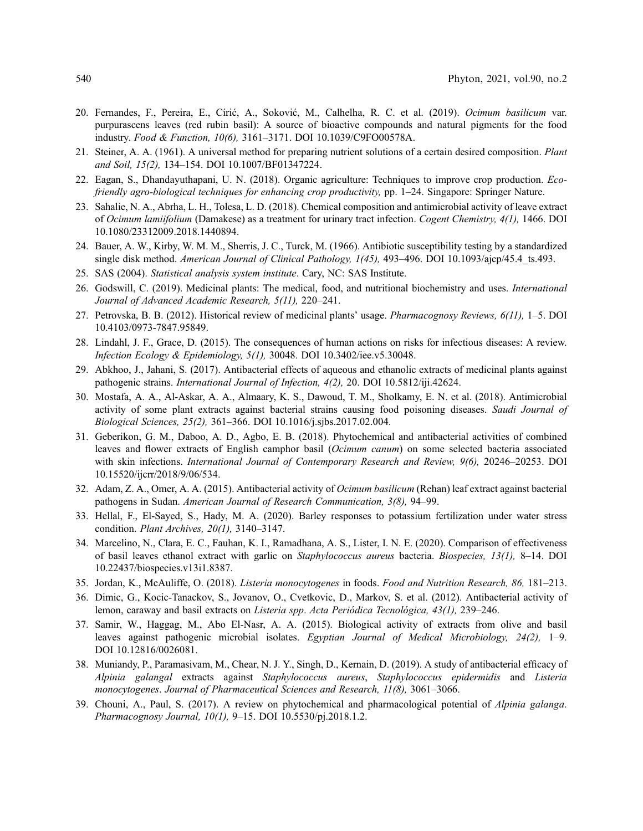- <span id="page-7-0"></span>20. Fernandes, F., Pereira, E., Círić, A., Soković, M., Calhelha, R. C. et al. (2019). Ocimum basilicum var. purpurascens leaves (red rubin basil): A source of bioactive compounds and natural pigments for the food industry. Food & Function, 10(6), 3161–3171. DOI [10.1039/C9FO00578A](http://dx.doi.org/10.1039/C9FO00578A).
- <span id="page-7-1"></span>21. Steiner, A. A. (1961). A universal method for preparing nutrient solutions of a certain desired composition. Plant and Soil, 15(2), 134–154. DOI [10.1007/BF01347224](http://dx.doi.org/10.1007/BF01347224).
- <span id="page-7-2"></span>22. Eagan, S., Dhandayuthapani, U. N. (2018). Organic agriculture: Techniques to improve crop production. Ecofriendly agro-biological techniques for enhancing crop productivity, pp. 1–24. Singapore: Springer Nature.
- <span id="page-7-3"></span>23. Sahalie, N. A., Abrha, L. H., Tolesa, L. D. (2018). Chemical composition and antimicrobial activity of leave extract of Ocimum lamiifolium (Damakese) as a treatment for urinary tract infection. Cogent Chemistry, 4(1), 1466. DOI [10.1080/23312009.2018.1440894](http://dx.doi.org/10.1080/23312009.2018.1440894).
- <span id="page-7-4"></span>24. Bauer, A. W., Kirby, W. M. M., Sherris, J. C., Turck, M. (1966). Antibiotic susceptibility testing by a standardized single disk method. American Journal of Clinical Pathology, 1(45), 493-496. DOI 10.1093/ajcp/45.4 ts.493.
- <span id="page-7-5"></span>25. SAS (2004). Statistical analysis system institute. Cary, NC: SAS Institute.
- <span id="page-7-6"></span>26. Godswill, C. (2019). Medicinal plants: The medical, food, and nutritional biochemistry and uses. International Journal of Advanced Academic Research, 5(11), 220–241.
- <span id="page-7-7"></span>27. Petrovska, B. B. (2012). Historical review of medicinal plants' usage. Pharmacognosy Reviews, 6(11), 1–5. DOI [10.4103/0973-7847.95849](http://dx.doi.org/10.4103/0973-7847.95849).
- <span id="page-7-8"></span>28. Lindahl, J. F., Grace, D. (2015). The consequences of human actions on risks for infectious diseases: A review. Infection Ecology & Epidemiology, 5(1), 30048. DOI [10.3402/iee.v5.30048](http://dx.doi.org/10.3402/iee.v5.30048).
- <span id="page-7-9"></span>29. Abkhoo, J., Jahani, S. (2017). Antibacterial effects of aqueous and ethanolic extracts of medicinal plants against pathogenic strains. International Journal of Infection, 4(2), 20. DOI [10.5812/iji.42624.](http://dx.doi.org/10.5812/iji.42624)
- <span id="page-7-10"></span>30. Mostafa, A. A., Al-Askar, A. A., Almaary, K. S., Dawoud, T. M., Sholkamy, E. N. et al. (2018). Antimicrobial activity of some plant extracts against bacterial strains causing food poisoning diseases. Saudi Journal of Biological Sciences, 25(2), 361–366. DOI [10.1016/j.sjbs.2017.02.004](http://dx.doi.org/10.1016/j.sjbs.2017.02.004).
- <span id="page-7-11"></span>31. Geberikon, G. M., Daboo, A. D., Agbo, E. B. (2018). Phytochemical and antibacterial activities of combined leaves and flower extracts of English camphor basil (Ocimum canum) on some selected bacteria associated with skin infections. International Journal of Contemporary Research and Review, 9(6), 20246–20253. DOI [10.15520/ijcrr/2018/9/06/534.](http://dx.doi.org/10.15520/ijcrr/2018/9/06/534)
- <span id="page-7-12"></span>32. Adam, Z. A., Omer, A. A. (2015). Antibacterial activity of Ocimum basilicum (Rehan) leaf extract against bacterial pathogens in Sudan. American Journal of Research Communication, 3(8), 94–99.
- <span id="page-7-13"></span>33. Hellal, F., El-Sayed, S., Hady, M. A. (2020). Barley responses to potassium fertilization under water stress condition. Plant Archives, 20(1), 3140–3147.
- <span id="page-7-14"></span>34. Marcelino, N., Clara, E. C., Fauhan, K. I., Ramadhana, A. S., Lister, I. N. E. (2020). Comparison of effectiveness of basil leaves ethanol extract with garlic on Staphylococcus aureus bacteria. Biospecies, 13(1), 8–14. DOI [10.22437/biospecies.v13i1.8387](http://dx.doi.org/10.22437/biospecies.v13i1.8387).
- <span id="page-7-15"></span>35. Jordan, K., McAuliffe, O. (2018). Listeria monocytogenes in foods. Food and Nutrition Research, 86, 181–213.
- <span id="page-7-16"></span>36. Dimic, G., Kocic-Tanackov, S., Jovanov, O., Cvetkovic, D., Markov, S. et al. (2012). Antibacterial activity of lemon, caraway and basil extracts on Listeria spp. Acta Periódica Tecnológica, 43(1), 239–246.
- <span id="page-7-17"></span>37. Samir, W., Haggag, M., Abo El-Nasr, A. A. (2015). Biological activity of extracts from olive and basil leaves against pathogenic microbial isolates. Egyptian Journal of Medical Microbiology, 24(2), 1–9. DOI [10.12816/0026081](http://dx.doi.org/10.12816/0026081).
- <span id="page-7-18"></span>38. Muniandy, P., Paramasivam, M., Chear, N. J. Y., Singh, D., Kernain, D. (2019). A study of antibacterial efficacy of Alpinia galangal extracts against Staphylococcus aureus, Staphylococcus epidermidis and Listeria monocytogenes. Journal of Pharmaceutical Sciences and Research, 11(8), 3061–3066.
- <span id="page-7-19"></span>39. Chouni, A., Paul, S. (2017). A review on phytochemical and pharmacological potential of Alpinia galanga. Pharmacognosy Journal, 10(1), 9–15. DOI [10.5530/pj.2018.1.2.](http://dx.doi.org/10.5530/pj.2018.1.2)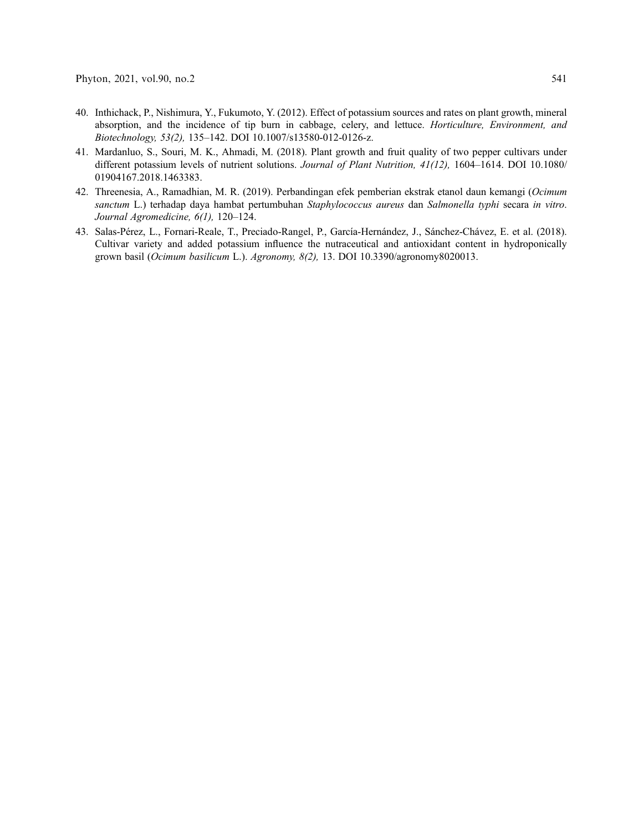- <span id="page-8-0"></span>40. Inthichack, P., Nishimura, Y., Fukumoto, Y. (2012). Effect of potassium sources and rates on plant growth, mineral absorption, and the incidence of tip burn in cabbage, celery, and lettuce. Horticulture, Environment, and Biotechnology, 53(2), 135–142. DOI [10.1007/s13580-012-0126-z](http://dx.doi.org/10.1007/s13580-012-0126-z).
- <span id="page-8-1"></span>41. Mardanluo, S., Souri, M. K., Ahmadi, M. (2018). Plant growth and fruit quality of two pepper cultivars under different potassium levels of nutrient solutions. Journal of Plant Nutrition, 41(12), 1604-1614. DOI [10.1080/](http://dx.doi.org/10.1080/01904167.2018.1463383) [01904167.2018.1463383](http://dx.doi.org/10.1080/01904167.2018.1463383).
- <span id="page-8-2"></span>42. Threenesia, A., Ramadhian, M. R. (2019). Perbandingan efek pemberian ekstrak etanol daun kemangi (Ocimum sanctum L.) terhadap daya hambat pertumbuhan Staphylococcus aureus dan Salmonella typhi secara in vitro. Journal Agromedicine, 6(1), 120–124.
- <span id="page-8-3"></span>43. Salas-Pérez, L., Fornari-Reale, T., Preciado-Rangel, P., García-Hernández, J., Sánchez-Chávez, E. et al. (2018). Cultivar variety and added potassium influence the nutraceutical and antioxidant content in hydroponically grown basil (Ocimum basilicum L.). Agronomy, 8(2), 13. DOI [10.3390/agronomy8020013](http://dx.doi.org/10.3390/agronomy8020013).